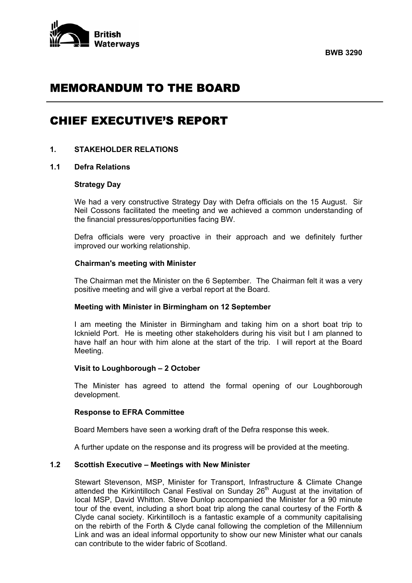



# MEMORANDUM TO THE BOARD

# CHIEF EXECUTIVE'S REPORT

#### **1. STAKEHOLDER RELATIONS**

#### **1.1 Defra Relations**

#### **Strategy Day**

 We had a very constructive Strategy Day with Defra officials on the 15 August. Sir Neil Cossons facilitated the meeting and we achieved a common understanding of the financial pressures/opportunities facing BW.

 Defra officials were very proactive in their approach and we definitely further improved our working relationship.

#### **Chairman's meeting with Minister**

 The Chairman met the Minister on the 6 September. The Chairman felt it was a very positive meeting and will give a verbal report at the Board.

#### **Meeting with Minister in Birmingham on 12 September**

 I am meeting the Minister in Birmingham and taking him on a short boat trip to Icknield Port. He is meeting other stakeholders during his visit but I am planned to have half an hour with him alone at the start of the trip. I will report at the Board Meeting.

#### **Visit to Loughborough – 2 October**

 The Minister has agreed to attend the formal opening of our Loughborough development.

#### **Response to EFRA Committee**

Board Members have seen a working draft of the Defra response this week.

A further update on the response and its progress will be provided at the meeting.

#### **1.2 Scottish Executive – Meetings with New Minister**

 Stewart Stevenson, MSP, Minister for Transport, Infrastructure & Climate Change attended the Kirkintilloch Canal Festival on Sunday 26<sup>th</sup> August at the invitation of local MSP, David Whitton. Steve Dunlop accompanied the Minister for a 90 minute tour of the event, including a short boat trip along the canal courtesy of the Forth & Clyde canal society. Kirkintilloch is a fantastic example of a community capitalising on the rebirth of the Forth & Clyde canal following the completion of the Millennium Link and was an ideal informal opportunity to show our new Minister what our canals can contribute to the wider fabric of Scotland.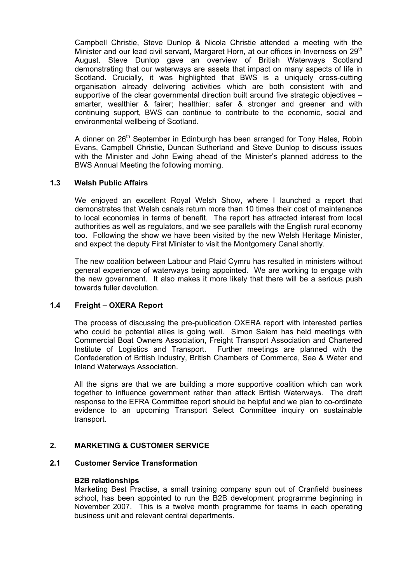Campbell Christie, Steve Dunlop & Nicola Christie attended a meeting with the Minister and our lead civil servant, Margaret Horn, at our offices in Inverness on 29<sup>th</sup> August. Steve Dunlop gave an overview of British Waterways Scotland demonstrating that our waterways are assets that impact on many aspects of life in Scotland. Crucially, it was highlighted that BWS is a uniquely cross-cutting organisation already delivering activities which are both consistent with and supportive of the clear governmental direction built around five strategic objectives – smarter, wealthier & fairer; healthier; safer & stronger and greener and with continuing support, BWS can continue to contribute to the economic, social and environmental wellbeing of Scotland.

A dinner on 26<sup>th</sup> September in Edinburgh has been arranged for Tony Hales, Robin Evans, Campbell Christie, Duncan Sutherland and Steve Dunlop to discuss issues with the Minister and John Ewing ahead of the Minister's planned address to the BWS Annual Meeting the following morning.

## **1.3 Welsh Public Affairs**

We enjoyed an excellent Royal Welsh Show, where I launched a report that demonstrates that Welsh canals return more than 10 times their cost of maintenance to local economies in terms of benefit. The report has attracted interest from local authorities as well as regulators, and we see parallels with the English rural economy too. Following the show we have been visited by the new Welsh Heritage Minister, and expect the deputy First Minister to visit the Montgomery Canal shortly.

The new coalition between Labour and Plaid Cymru has resulted in ministers without general experience of waterways being appointed. We are working to engage with the new government. It also makes it more likely that there will be a serious push towards fuller devolution.

## **1.4 Freight – OXERA Report**

 The process of discussing the pre-publication OXERA report with interested parties who could be potential allies is going well. Simon Salem has held meetings with Commercial Boat Owners Association, Freight Transport Association and Chartered Institute of Logistics and Transport. Further meetings are planned with the Confederation of British Industry, British Chambers of Commerce, Sea & Water and Inland Waterways Association.

 All the signs are that we are building a more supportive coalition which can work together to influence government rather than attack British Waterways. The draft response to the EFRA Committee report should be helpful and we plan to co-ordinate evidence to an upcoming Transport Select Committee inquiry on sustainable transport.

## **2. MARKETING & CUSTOMER SERVICE**

#### **2.1 Customer Service Transformation**

#### **B2B relationships**

 Marketing Best Practise, a small training company spun out of Cranfield business school, has been appointed to run the B2B development programme beginning in November 2007. This is a twelve month programme for teams in each operating business unit and relevant central departments.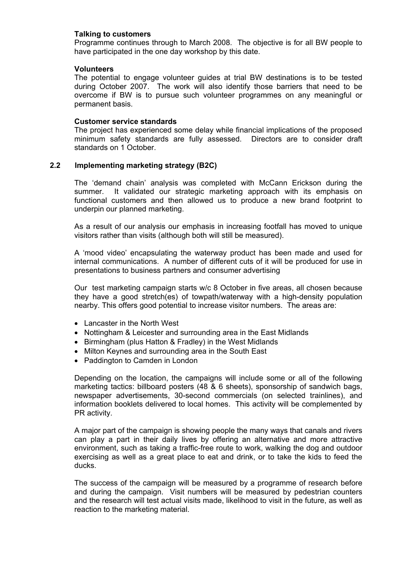#### **Talking to customers**

 Programme continues through to March 2008. The objective is for all BW people to have participated in the one day workshop by this date.

## **Volunteers**

 The potential to engage volunteer guides at trial BW destinations is to be tested during October 2007. The work will also identify those barriers that need to be overcome if BW is to pursue such volunteer programmes on any meaningful or permanent basis.

#### **Customer service standards**

 The project has experienced some delay while financial implications of the proposed minimum safety standards are fully assessed. Directors are to consider draft standards on 1 October.

#### **2.2 Implementing marketing strategy (B2C)**

 The 'demand chain' analysis was completed with McCann Erickson during the summer. It validated our strategic marketing approach with its emphasis on functional customers and then allowed us to produce a new brand footprint to underpin our planned marketing.

 As a result of our analysis our emphasis in increasing footfall has moved to unique visitors rather than visits (although both will still be measured).

 A 'mood video' encapsulating the waterway product has been made and used for internal communications. A number of different cuts of it will be produced for use in presentations to business partners and consumer advertising

 Our test marketing campaign starts w/c 8 October in five areas, all chosen because they have a good stretch(es) of towpath/waterway with a high-density population nearby. This offers good potential to increase visitor numbers. The areas are:

- Lancaster in the North West
- Nottingham & Leicester and surrounding area in the East Midlands
- Birmingham (plus Hatton & Fradley) in the West Midlands
- Milton Keynes and surrounding area in the South East
- Paddington to Camden in London

 Depending on the location, the campaigns will include some or all of the following marketing tactics: billboard posters (48 & 6 sheets), sponsorship of sandwich bags, newspaper advertisements, 30-second commercials (on selected trainlines), and information booklets delivered to local homes. This activity will be complemented by PR activity.

 A major part of the campaign is showing people the many ways that canals and rivers can play a part in their daily lives by offering an alternative and more attractive environment, such as taking a traffic-free route to work, walking the dog and outdoor exercising as well as a great place to eat and drink, or to take the kids to feed the ducks.

 The success of the campaign will be measured by a programme of research before and during the campaign. Visit numbers will be measured by pedestrian counters and the research will test actual visits made, likelihood to visit in the future, as well as reaction to the marketing material.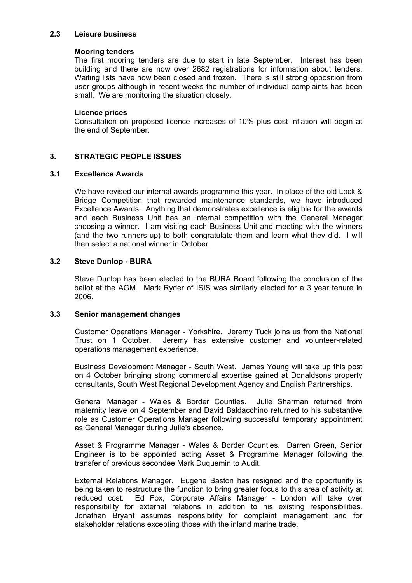#### **2.3 Leisure business**

#### **Mooring tenders**

 The first mooring tenders are due to start in late September. Interest has been building and there are now over 2682 registrations for information about tenders. Waiting lists have now been closed and frozen. There is still strong opposition from user groups although in recent weeks the number of individual complaints has been small. We are monitoring the situation closely.

#### **Licence prices**

 Consultation on proposed licence increases of 10% plus cost inflation will begin at the end of September.

## **3. STRATEGIC PEOPLE ISSUES**

#### **3.1 Excellence Awards**

We have revised our internal awards programme this year. In place of the old Lock & Bridge Competition that rewarded maintenance standards, we have introduced Excellence Awards. Anything that demonstrates excellence is eligible for the awards and each Business Unit has an internal competition with the General Manager choosing a winner. I am visiting each Business Unit and meeting with the winners (and the two runners-up) to both congratulate them and learn what they did. I will then select a national winner in October.

## **3.2 Steve Dunlop - BURA**

 Steve Dunlop has been elected to the BURA Board following the conclusion of the ballot at the AGM. Mark Ryder of ISIS was similarly elected for a 3 year tenure in 2006.

#### **3.3 Senior management changes**

 Customer Operations Manager - Yorkshire. Jeremy Tuck joins us from the National Trust on 1 October. Jeremy has extensive customer and volunteer-related operations management experience.

 Business Development Manager - South West. James Young will take up this post on 4 October bringing strong commercial expertise gained at Donaldsons property consultants, South West Regional Development Agency and English Partnerships.

 General Manager - Wales & Border Counties. Julie Sharman returned from maternity leave on 4 September and David Baldacchino returned to his substantive role as Customer Operations Manager following successful temporary appointment as General Manager during Julie's absence.

 Asset & Programme Manager - Wales & Border Counties. Darren Green, Senior Engineer is to be appointed acting Asset & Programme Manager following the transfer of previous secondee Mark Duquemin to Audit.

 External Relations Manager. Eugene Baston has resigned and the opportunity is being taken to restructure the function to bring greater focus to this area of activity at reduced cost. Ed Fox, Corporate Affairs Manager - London will take over responsibility for external relations in addition to his existing responsibilities. Jonathan Bryant assumes responsibility for complaint management and for stakeholder relations excepting those with the inland marine trade.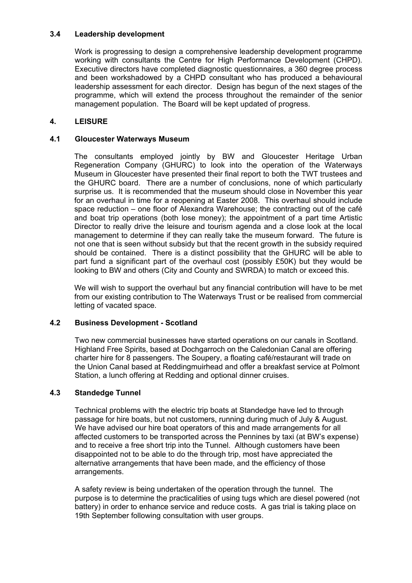## **3.4 Leadership development**

 Work is progressing to design a comprehensive leadership development programme working with consultants the Centre for High Performance Development (CHPD). Executive directors have completed diagnostic questionnaires, a 360 degree process and been workshadowed by a CHPD consultant who has produced a behavioural leadership assessment for each director. Design has begun of the next stages of the programme, which will extend the process throughout the remainder of the senior management population. The Board will be kept updated of progress.

## **4. LEISURE**

## **4.1 Gloucester Waterways Museum**

 The consultants employed jointly by BW and Gloucester Heritage Urban Regeneration Company (GHURC) to look into the operation of the Waterways Museum in Gloucester have presented their final report to both the TWT trustees and the GHURC board. There are a number of conclusions, none of which particularly surprise us. It is recommended that the museum should close in November this year for an overhaul in time for a reopening at Easter 2008. This overhaul should include space reduction – one floor of Alexandra Warehouse; the contracting out of the café and boat trip operations (both lose money); the appointment of a part time Artistic Director to really drive the leisure and tourism agenda and a close look at the local management to determine if they can really take the museum forward. The future is not one that is seen without subsidy but that the recent growth in the subsidy required should be contained. There is a distinct possibility that the GHURC will be able to part fund a significant part of the overhaul cost (possibly £50K) but they would be looking to BW and others (City and County and SWRDA) to match or exceed this.

 We will wish to support the overhaul but any financial contribution will have to be met from our existing contribution to The Waterways Trust or be realised from commercial letting of vacated space.

## **4.2 Business Development - Scotland**

 Two new commercial businesses have started operations on our canals in Scotland. Highland Free Spirits, based at Dochgarroch on the Caledonian Canal are offering charter hire for 8 passengers. The Soupery, a floating café/restaurant will trade on the Union Canal based at Reddingmuirhead and offer a breakfast service at Polmont Station, a lunch offering at Redding and optional dinner cruises.

## **4.3 Standedge Tunnel**

 Technical problems with the electric trip boats at Standedge have led to through passage for hire boats, but not customers, running during much of July & August. We have advised our hire boat operators of this and made arrangements for all affected customers to be transported across the Pennines by taxi (at BW's expense) and to receive a free short trip into the Tunnel. Although customers have been disappointed not to be able to do the through trip, most have appreciated the alternative arrangements that have been made, and the efficiency of those arrangements.

 A safety review is being undertaken of the operation through the tunnel. The purpose is to determine the practicalities of using tugs which are diesel powered (not battery) in order to enhance service and reduce costs. A gas trial is taking place on 19th September following consultation with user groups.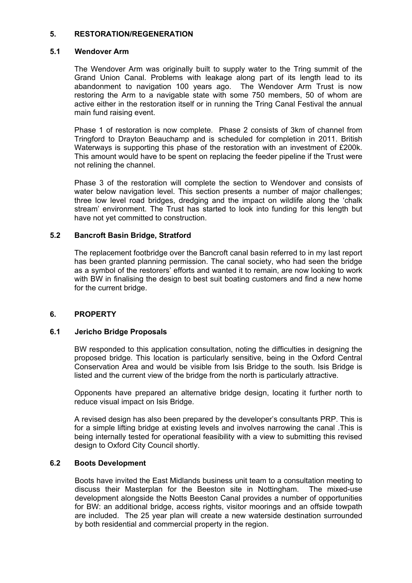## **5. RESTORATION/REGENERATION**

## **5.1 Wendover Arm**

The Wendover Arm was originally built to supply water to the Tring summit of the Grand Union Canal. Problems with leakage along part of its length lead to its abandonment to navigation 100 years ago. The Wendover Arm Trust is now restoring the Arm to a navigable state with some 750 members, 50 of whom are active either in the restoration itself or in running the Tring Canal Festival the annual main fund raising event.

Phase 1 of restoration is now complete. Phase 2 consists of 3km of channel from Tringford to Drayton Beauchamp and is scheduled for completion in 2011. British Waterways is supporting this phase of the restoration with an investment of £200k. This amount would have to be spent on replacing the feeder pipeline if the Trust were not relining the channel.

Phase 3 of the restoration will complete the section to Wendover and consists of water below navigation level. This section presents a number of major challenges; three low level road bridges, dredging and the impact on wildlife along the 'chalk stream' environment. The Trust has started to look into funding for this length but have not yet committed to construction.

## **5.2 Bancroft Basin Bridge, Stratford**

 The replacement footbridge over the Bancroft canal basin referred to in my last report has been granted planning permission. The canal society, who had seen the bridge as a symbol of the restorers' efforts and wanted it to remain, are now looking to work with BW in finalising the design to best suit boating customers and find a new home for the current bridge.

## **6. PROPERTY**

## **6.1 Jericho Bridge Proposals**

BW responded to this application consultation, noting the difficulties in designing the proposed bridge. This location is particularly sensitive, being in the Oxford Central Conservation Area and would be visible from Isis Bridge to the south. Isis Bridge is listed and the current view of the bridge from the north is particularly attractive.

Opponents have prepared an alternative bridge design, locating it further north to reduce visual impact on Isis Bridge.

A revised design has also been prepared by the developer's consultants PRP. This is for a simple lifting bridge at existing levels and involves narrowing the canal .This is being internally tested for operational feasibility with a view to submitting this revised design to Oxford City Council shortly.

## **6.2 Boots Development**

 Boots have invited the East Midlands business unit team to a consultation meeting to discuss their Masterplan for the Beeston site in Nottingham. The mixed-use development alongside the Notts Beeston Canal provides a number of opportunities for BW: an additional bridge, access rights, visitor moorings and an offside towpath are included. The 25 year plan will create a new waterside destination surrounded by both residential and commercial property in the region.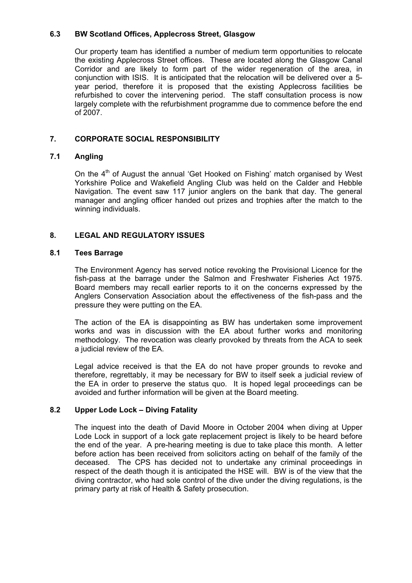## **6.3 BW Scotland Offices, Applecross Street, Glasgow**

 Our property team has identified a number of medium term opportunities to relocate the existing Applecross Street offices. These are located along the Glasgow Canal Corridor and are likely to form part of the wider regeneration of the area, in conjunction with ISIS. It is anticipated that the relocation will be delivered over a 5 year period, therefore it is proposed that the existing Applecross facilities be refurbished to cover the intervening period. The staff consultation process is now largely complete with the refurbishment programme due to commence before the end of 2007.

# **7. CORPORATE SOCIAL RESPONSIBILITY**

## **7.1 Angling**

On the  $4<sup>th</sup>$  of August the annual 'Get Hooked on Fishing' match organised by West Yorkshire Police and Wakefield Angling Club was held on the Calder and Hebble Navigation. The event saw 117 junior anglers on the bank that day. The general manager and angling officer handed out prizes and trophies after the match to the winning individuals.

## **8. LEGAL AND REGULATORY ISSUES**

#### **8.1 Tees Barrage**

The Environment Agency has served notice revoking the Provisional Licence for the fish-pass at the barrage under the Salmon and Freshwater Fisheries Act 1975. Board members may recall earlier reports to it on the concerns expressed by the Anglers Conservation Association about the effectiveness of the fish-pass and the pressure they were putting on the EA.

The action of the EA is disappointing as BW has undertaken some improvement works and was in discussion with the EA about further works and monitoring methodology. The revocation was clearly provoked by threats from the ACA to seek a judicial review of the EA.

Legal advice received is that the EA do not have proper grounds to revoke and therefore, regrettably, it may be necessary for BW to itself seek a judicial review of the EA in order to preserve the status quo. It is hoped legal proceedings can be avoided and further information will be given at the Board meeting.

## **8.2 Upper Lode Lock – Diving Fatality**

The inquest into the death of David Moore in October 2004 when diving at Upper Lode Lock in support of a lock gate replacement project is likely to be heard before the end of the year. A pre-hearing meeting is due to take place this month. A letter before action has been received from solicitors acting on behalf of the family of the deceased. The CPS has decided not to undertake any criminal proceedings in respect of the death though it is anticipated the HSE will. BW is of the view that the diving contractor, who had sole control of the dive under the diving regulations, is the primary party at risk of Health & Safety prosecution.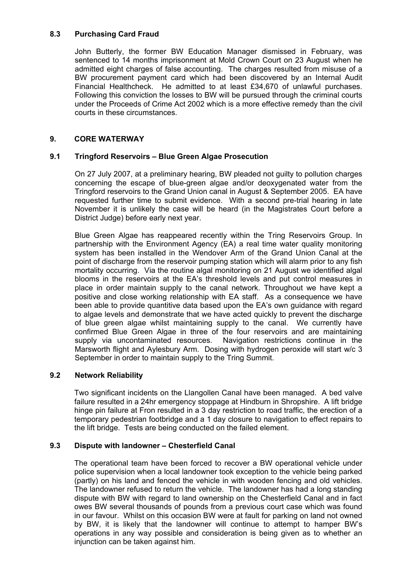## **8.3 Purchasing Card Fraud**

 John Butterly, the former BW Education Manager dismissed in February, was sentenced to 14 months imprisonment at Mold Crown Court on 23 August when he admitted eight charges of false accounting. The charges resulted from misuse of a BW procurement payment card which had been discovered by an Internal Audit Financial Healthcheck. He admitted to at least £34,670 of unlawful purchases. Following this conviction the losses to BW will be pursued through the criminal courts under the Proceeds of Crime Act 2002 which is a more effective remedy than the civil courts in these circumstances.

## **9. CORE WATERWAY**

## **9.1 Tringford Reservoirs – Blue Green Algae Prosecution**

On 27 July 2007, at a preliminary hearing, BW pleaded not guilty to pollution charges concerning the escape of blue-green algae and/or deoxygenated water from the Tringford reservoirs to the Grand Union canal in August & September 2005. EA have requested further time to submit evidence. With a second pre-trial hearing in late November it is unlikely the case will be heard (in the Magistrates Court before a District Judge) before early next year.

 Blue Green Algae has reappeared recently within the Tring Reservoirs Group. In partnership with the Environment Agency (EA) a real time water quality monitoring system has been installed in the Wendover Arm of the Grand Union Canal at the point of discharge from the reservoir pumping station which will alarm prior to any fish mortality occurring. Via the routine algal monitoring on 21 August we identified algal blooms in the reservoirs at the EA's threshold levels and put control measures in place in order maintain supply to the canal network. Throughout we have kept a positive and close working relationship with EA staff. As a consequence we have been able to provide quantitive data based upon the EA's own guidance with regard to algae levels and demonstrate that we have acted quickly to prevent the discharge of blue green algae whilst maintaining supply to the canal. We currently have confirmed Blue Green Algae in three of the four reservoirs and are maintaining supply via uncontaminated resources. Navigation restrictions continue in the Marsworth flight and Aylesbury Arm. Dosing with hydrogen peroxide will start w/c 3 September in order to maintain supply to the Tring Summit.

## **9.2 Network Reliability**

 Two significant incidents on the Llangollen Canal have been managed. A bed valve failure resulted in a 24hr emergency stoppage at Hindburn in Shropshire. A lift bridge hinge pin failure at Fron resulted in a 3 day restriction to road traffic, the erection of a temporary pedestrian footbridge and a 1 day closure to navigation to effect repairs to the lift bridge. Tests are being conducted on the failed element.

## **9.3 Dispute with landowner – Chesterfield Canal**

 The operational team have been forced to recover a BW operational vehicle under police supervision when a local landowner took exception to the vehicle being parked (partly) on his land and fenced the vehicle in with wooden fencing and old vehicles. The landowner refused to return the vehicle. The landowner has had a long standing dispute with BW with regard to land ownership on the Chesterfield Canal and in fact owes BW several thousands of pounds from a previous court case which was found in our favour. Whilst on this occasion BW were at fault for parking on land not owned by BW, it is likely that the landowner will continue to attempt to hamper BW's operations in any way possible and consideration is being given as to whether an injunction can be taken against him.